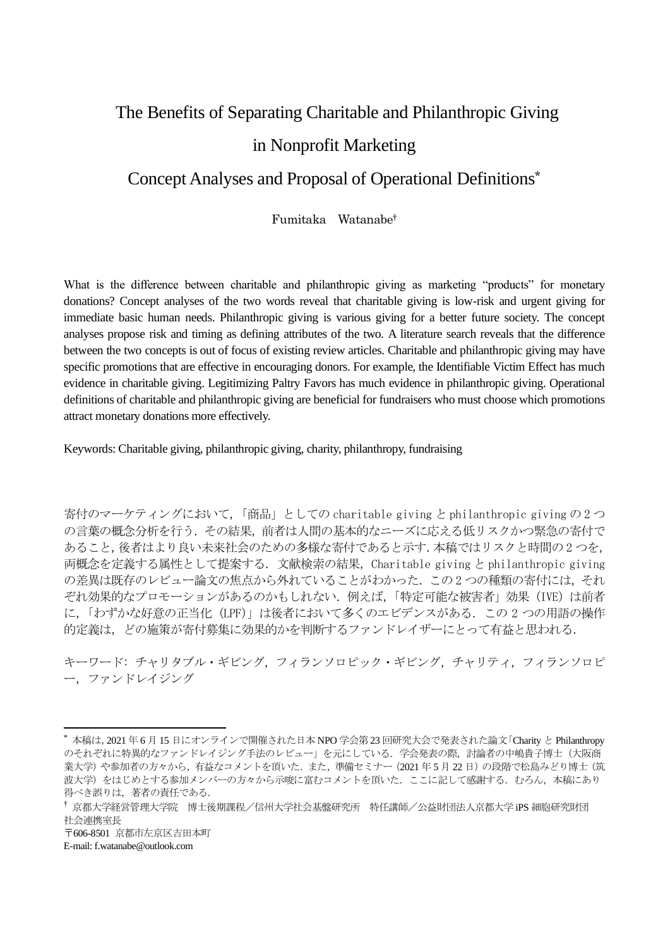# The Benefits of Separating Charitable and Philanthropic Giving in Nonprofit Marketing

# Concept Analyses and Proposal of Operational Definitions\*

Fumitaka Watanabe†

What is the difference between charitable and philanthropic giving as marketing "products" for monetary donations? Concept analyses of the two words reveal that charitable giving is low-risk and urgent giving for immediate basic human needs. Philanthropic giving is various giving for a better future society. The concept analyses propose risk and timing as defining attributes of the two. A literature search reveals that the difference between the two concepts is out of focus of existing review articles. Charitable and philanthropic giving may have specific promotions that are effective in encouraging donors. For example, the Identifiable Victim Effect has much evidence in charitable giving. Legitimizing Paltry Favors has much evidence in philanthropic giving. Operational definitions of charitable and philanthropic giving are beneficial for fundraisers who must choose which promotions attract monetary donations more effectively.

Keywords: Charitable giving, philanthropic giving, charity, philanthropy, fundraising

寄付のマーケティングにおいて,「商品」としての charitable giving と philanthropic giving の 2 つ の言葉の概念分析を行う.その結果,前者は人間の基本的なニーズに応える低リスクかつ緊急の寄付で あること,後者はより良い未来社会のための多様な寄付であると示す.本稿ではリスクと時間の 2 つを, 両概念を定義する属性として提案する.文献検索の結果,Charitable giving と philanthropic giving の差異は既存のレビュー論文の焦点から外れていることがわかった.この2つの種類の寄付には、それ ぞれ効果的なプロモーションがあるのかもしれない. 例えば、「特定可能な被害者」効果 (IVE) は前者 に、「わずかな好意の正当化 (LPF)」は後者において多くのエビデンスがある. この 2 つの用語の操作 的定義は,どの施策が寄付募集に効果的かを判断するファンドレイザーにとって有益と思われる.

キーワード: チャリタブル・ギビング,フィランソロピック・ギビング,チャリティ,フィランソロピ ー,ファンドレイジング

<sup>\*</sup> 本稿は,2021 年 6 月 15 日にオンラインで開催された日本 NPO 学会第 23 回研究大会で発表された論文「Charity と Philanthropy のそれぞれに特異的なファンドレイジング手法のレビュー」を元にしている.学会発表の際,討論者の中嶋貴子博士(大阪商 業大学)や参加者の方々から,有益なコメントを頂いた.また,準備セミナー (2021 年5月22日)の段階で松島みどり博士 (筑 波大学)をはじめとする参加メンバーの方々から示唆に富むコメントを頂いた.ここに記して感謝する. むろん, 本稿にあり 得べき誤りは、著者の責任である.

<sup>†</sup> 京都大学経営管理大学院 博士後期課程/信州大学社会基盤研究所 特任講師/公益財団法人京都大学 iPS 細胞研究財団 社会連携室長

<sup>〒</sup>606-8501 京都市左京区吉田本町

E-mail: f.watanabe@outlook.com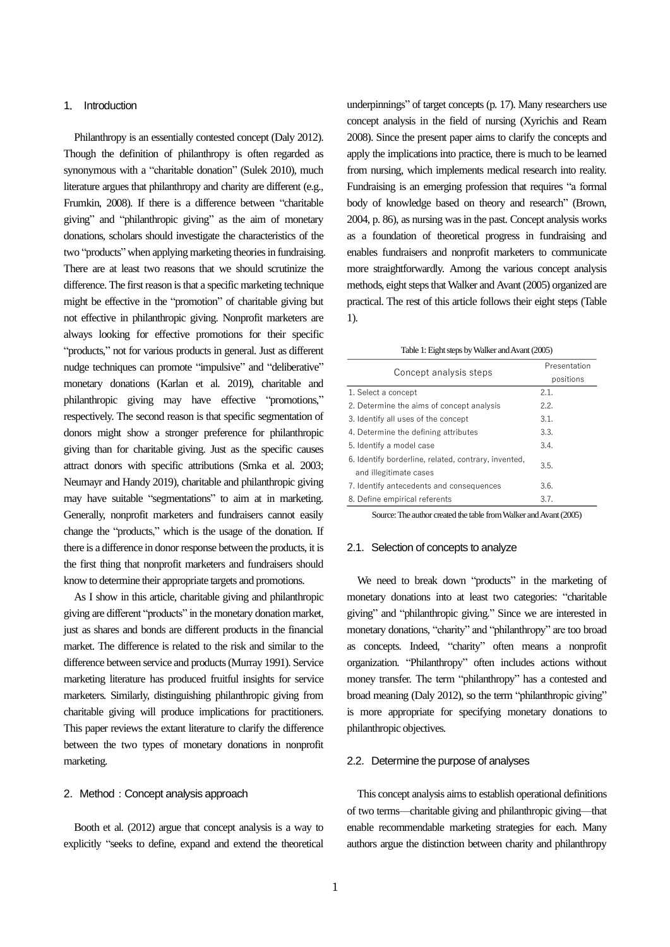# 1. Introduction

Philanthropy is an essentially contested concept (Daly 2012). Though the definition of philanthropy is often regarded as synonymous with a "charitable donation" (Sulek 2010), much literature argues that philanthropy and charity are different (e.g., Frumkin, 2008). If there is a difference between "charitable giving" and "philanthropic giving" as the aim of monetary donations, scholars should investigate the characteristics of the two "products" when applying marketing theories in fundraising. There are at least two reasons that we should scrutinize the difference. The first reason is that a specific marketing technique might be effective in the "promotion" of charitable giving but not effective in philanthropic giving. Nonprofit marketers are always looking for effective promotions for their specific "products," not for various products in general. Just as different nudge techniques can promote "impulsive" and "deliberative" monetary donations (Karlan et al. 2019), charitable and philanthropic giving may have effective "promotions," respectively. The second reason is that specific segmentation of donors might show a stronger preference for philanthropic giving than for charitable giving. Just as the specific causes attract donors with specific attributions (Srnka et al. 2003; Neumayr and Handy 2019), charitable and philanthropic giving may have suitable "segmentations" to aim at in marketing. Generally, nonprofit marketers and fundraisers cannot easily change the "products," which is the usage of the donation. If there is a difference in donor response between the products, it is the first thing that nonprofit marketers and fundraisers should know to determine their appropriate targets and promotions.

As I show in this article, charitable giving and philanthropic giving are different "products" in the monetary donation market, just as shares and bonds are different products in the financial market. The difference is related to the risk and similar to the difference between service and products(Murray 1991). Service marketing literature has produced fruitful insights for service marketers. Similarly, distinguishing philanthropic giving from charitable giving will produce implications for practitioners. This paper reviews the extant literature to clarify the difference between the two types of monetary donations in nonprofit marketing.

# 2. Method: Concept analysis approach

Booth et al. (2012) argue that concept analysis is a way to explicitly "seeks to define, expand and extend the theoretical underpinnings" of target concepts(p. 17). Many researchers use concept analysis in the field of nursing (Xyrichis and Ream 2008). Since the present paper aims to clarify the concepts and apply the implications into practice, there is much to be learned from nursing, which implements medical research into reality. Fundraising is an emerging profession that requires "a formal body of knowledge based on theory and research" (Brown, 2004, p. 86), as nursing was in the past. Concept analysis works as a foundation of theoretical progress in fundraising and enables fundraisers and nonprofit marketers to communicate more straightforwardly. Among the various concept analysis methods, eight steps that Walker and Avant (2005) organized are practical. The rest of this article follows their eight steps (Table 1).

#### Table 1: Eight steps by Walker and Avant(2005)

| Concept analysis steps                                                         | Presentation |
|--------------------------------------------------------------------------------|--------------|
|                                                                                | positions    |
| 1. Select a concept                                                            | 2.1.         |
| 2. Determine the aims of concept analysis                                      | 2.2.         |
| 3. Identify all uses of the concept                                            | 3.1.         |
| 4. Determine the defining attributes                                           | 3.3.         |
| 5. Identify a model case                                                       | 3.4.         |
| 6. Identify borderline, related, contrary, invented,<br>and illegitimate cases | 3.5.         |
| 7. Identify antecedents and consequences                                       | 3.6.         |
| 8. Define empirical referents                                                  | 3.7.         |

Source: The author created the table from Walker and Avant(2005)

#### 2.1. Selection of concepts to analyze

We need to break down "products" in the marketing of monetary donations into at least two categories: "charitable giving" and "philanthropic giving." Since we are interested in monetary donations, "charity" and "philanthropy" are too broad as concepts. Indeed, "charity" often means a nonprofit organization. "Philanthropy" often includes actions without money transfer. The term "philanthropy" has a contested and broad meaning (Daly 2012), so the term "philanthropic giving" is more appropriate for specifying monetary donations to philanthropic objectives.

#### 2.2. Determine the purpose of analyses

This concept analysis aims to establish operational definitions of two terms—charitable giving and philanthropic giving—that enable recommendable marketing strategies for each. Many authors argue the distinction between charity and philanthropy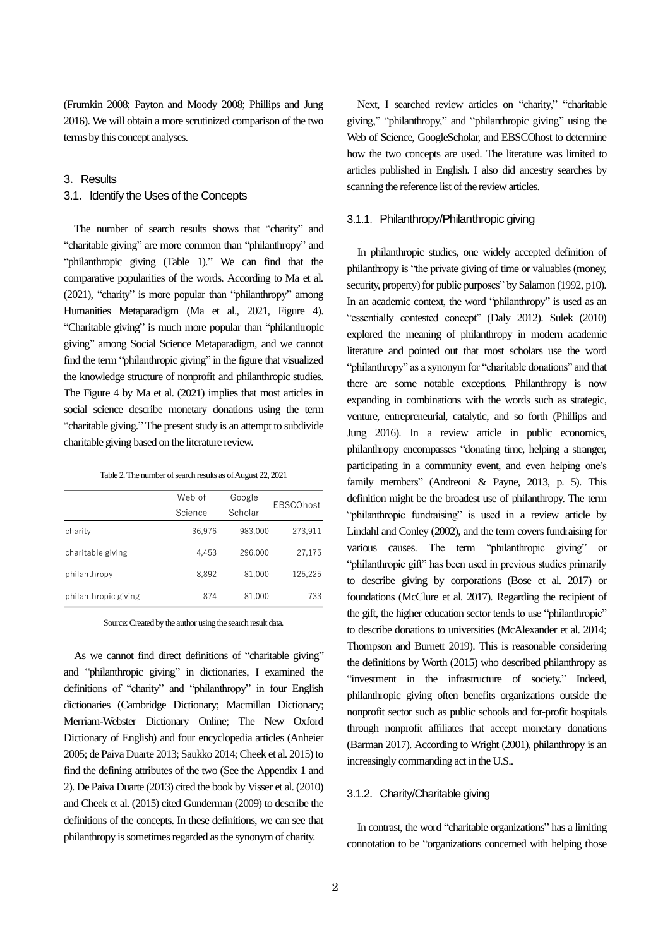(Frumkin 2008; Payton and Moody 2008; Phillips and Jung 2016). We will obtain a more scrutinized comparison of the two terms by this concept analyses.

# 3.Results

#### 3.1. Identify the Uses of the Concepts

The number of search results shows that "charity" and "charitable giving" are more common than "philanthropy" and "philanthropic giving (Table 1)." We can find that the comparative popularities of the words. According to Ma et al. (2021), "charity" is more popular than "philanthropy" among Humanities Metaparadigm (Ma et al., 2021, Figure 4). "Charitable giving" is much more popular than "philanthropic giving" among Social Science Metaparadigm, and we cannot find the term "philanthropic giving" in the figure that visualized the knowledge structure of nonprofit and philanthropic studies. The Figure 4 by Ma et al. (2021) implies that most articles in social science describe monetary donations using the term "charitable giving." The present study is an attempt to subdivide charitable giving based on the literature review.

|  |  |  |  | Table 2. The number of search results as of August 22, 2021 |  |
|--|--|--|--|-------------------------------------------------------------|--|
|--|--|--|--|-------------------------------------------------------------|--|

|                      | Web of  | Google  | <b>EBSCOhost</b> |
|----------------------|---------|---------|------------------|
|                      | Science | Scholar |                  |
| charity              | 36,976  | 983,000 | 273.911          |
| charitable giving    | 4.453   | 296,000 | 27.175           |
| philanthropy         | 8.892   | 81.000  | 125,225          |
| philanthropic giving | 874     | 81,000  | 733              |

Source: Created by the author using the search result data.

As we cannot find direct definitions of "charitable giving" and "philanthropic giving" in dictionaries, I examined the definitions of "charity" and "philanthropy" in four English dictionaries (Cambridge Dictionary; Macmillan Dictionary; Merriam-Webster Dictionary Online; The New Oxford Dictionary of English) and four encyclopedia articles (Anheier 2005; de Paiva Duarte 2013; Saukko 2014; Cheek et al. 2015) to find the defining attributes of the two (See the Appendix 1 and 2). De Paiva Duarte (2013) cited the book by Visser et al. (2010) and Cheek et al. (2015) cited Gunderman (2009) to describe the definitions of the concepts. In these definitions, we can see that philanthropy is sometimes regarded as the synonym of charity.

Next, I searched review articles on "charity," "charitable giving," "philanthropy," and "philanthropic giving" using the Web of Science, GoogleScholar, and EBSCOhost to determine how the two concepts are used. The literature was limited to articles published in English. I also did ancestry searches by scanning the reference list of the review articles.

#### 3.1.1.Philanthropy/Philanthropic giving

In philanthropic studies, one widely accepted definition of philanthropy is "the private giving of time or valuables (money, security, property) for public purposes" by Salamon (1992, p10). In an academic context, the word "philanthropy" is used as an "essentially contested concept" (Daly 2012). Sulek (2010) explored the meaning of philanthropy in modern academic literature and pointed out that most scholars use the word "philanthropy" as a synonym for "charitable donations" and that there are some notable exceptions. Philanthropy is now expanding in combinations with the words such as strategic, venture, entrepreneurial, catalytic, and so forth (Phillips and Jung 2016). In a review article in public economics, philanthropy encompasses "donating time, helping a stranger, participating in a community event, and even helping one's family members" (Andreoni & Payne, 2013, p. 5). This definition might be the broadest use of philanthropy. The term "philanthropic fundraising" is used in a review article by Lindahl and Conley (2002), and the term covers fundraising for various causes. The term "philanthropic giving" or "philanthropic gift" has been used in previous studies primarily to describe giving by corporations (Bose et al. 2017) or foundations (McClure et al. 2017). Regarding the recipient of the gift, the higher education sector tends to use "philanthropic" to describe donations to universities (McAlexander et al. 2014; Thompson and Burnett 2019). This is reasonable considering the definitions by Worth (2015) who described philanthropy as "investment in the infrastructure of society." Indeed, philanthropic giving often benefits organizations outside the nonprofit sector such as public schools and for-profit hospitals through nonprofit affiliates that accept monetary donations (Barman 2017). According to Wright (2001), philanthropy is an increasingly commanding act in the U.S..

# 3.1.2. Charity/Charitable giving

In contrast, the word "charitable organizations" has a limiting connotation to be "organizations concerned with helping those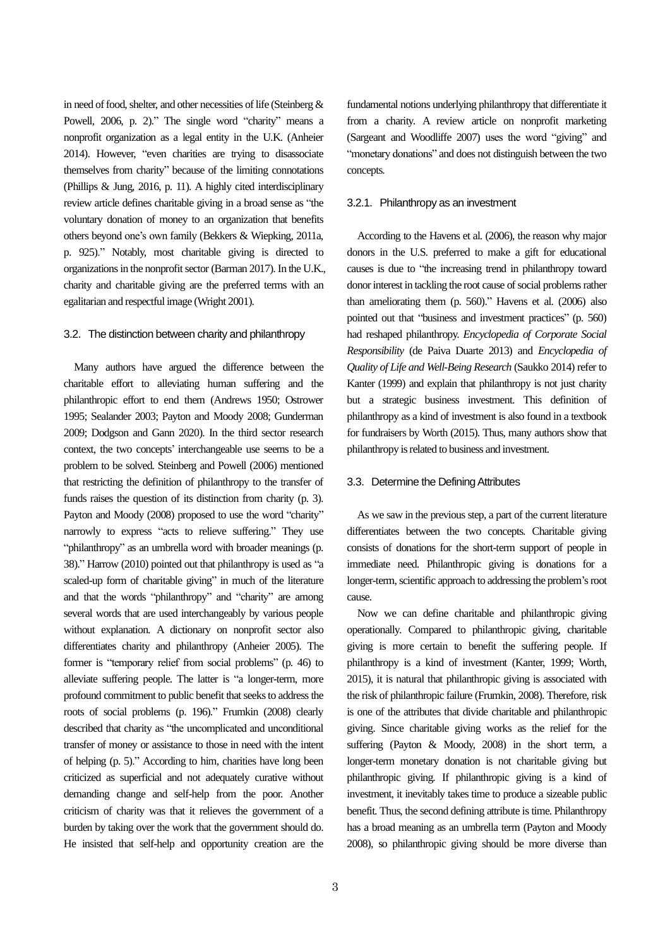in need of food, shelter, and other necessities of life (Steinberg & Powell, 2006, p. 2)." The single word "charity" means a nonprofit organization as a legal entity in the U.K. (Anheier 2014). However, "even charities are trying to disassociate themselves from charity" because of the limiting connotations (Phillips & Jung, 2016, p. 11). A highly cited interdisciplinary review article defines charitable giving in a broad sense as "the voluntary donation of money to an organization that benefits others beyond one's own family (Bekkers & Wiepking, 2011a, p. 925)." Notably, most charitable giving is directed to organizations in the nonprofit sector (Barman 2017). In the U.K., charity and charitable giving are the preferred terms with an egalitarian and respectful image (Wright 2001).

#### 3.2. The distinction between charity and philanthropy

Many authors have argued the difference between the charitable effort to alleviating human suffering and the philanthropic effort to end them (Andrews 1950; Ostrower 1995; Sealander 2003; Payton and Moody 2008; Gunderman 2009; Dodgson and Gann 2020). In the third sector research context, the two concepts' interchangeable use seems to be a problem to be solved. Steinberg and Powell (2006) mentioned that restricting the definition of philanthropy to the transfer of funds raises the question of its distinction from charity (p. 3). Payton and Moody (2008) proposed to use the word "charity" narrowly to express "acts to relieve suffering." They use "philanthropy" as an umbrella word with broader meanings (p. 38)." Harrow (2010) pointed out that philanthropy is used as "a scaled-up form of charitable giving" in much of the literature and that the words "philanthropy" and "charity" are among several words that are used interchangeably by various people without explanation. A dictionary on nonprofit sector also differentiates charity and philanthropy (Anheier 2005). The former is "temporary relief from social problems" (p. 46) to alleviate suffering people. The latter is "a longer-term, more profound commitment to public benefit that seeks to address the roots of social problems (p. 196)." Frumkin (2008) clearly described that charity as "the uncomplicated and unconditional transfer of money or assistance to those in need with the intent of helping (p. 5)." According to him, charities have long been criticized as superficial and not adequately curative without demanding change and self-help from the poor. Another criticism of charity was that it relieves the government of a burden by taking over the work that the government should do. He insisted that self-help and opportunity creation are the

fundamental notions underlying philanthropy that differentiate it from a charity. A review article on nonprofit marketing (Sargeant and Woodliffe 2007) uses the word "giving" and "monetary donations" and does not distinguish between the two concepts.

#### 3.2.1.Philanthropy as an investment

According to the Havens et al. (2006), the reason why major donors in the U.S. preferred to make a gift for educational causes is due to "the increasing trend in philanthropy toward donor interest in tackling the root cause of social problems rather than ameliorating them (p. 560)." Havens et al. (2006) also pointed out that "business and investment practices" (p. 560) had reshaped philanthropy. *Encyclopedia of Corporate Social Responsibility* (de Paiva Duarte 2013) and *Encyclopedia of Quality of Life and Well-Being Research* (Saukko 2014) refer to Kanter (1999) and explain that philanthropy is not just charity but a strategic business investment. This definition of philanthropy as a kind of investmentis also found in a textbook for fundraisers by Worth (2015). Thus, many authors show that philanthropy is related to business and investment.

#### 3.3. Determine the Defining Attributes

As we saw in the previous step, a part of the current literature differentiates between the two concepts. Charitable giving consists of donations for the short-term support of people in immediate need. Philanthropic giving is donations for a longer-term, scientific approach to addressing the problem's root cause.

Now we can define charitable and philanthropic giving operationally. Compared to philanthropic giving, charitable giving is more certain to benefit the suffering people. If philanthropy is a kind of investment (Kanter, 1999; Worth, 2015), it is natural that philanthropic giving is associated with the risk of philanthropic failure (Frumkin, 2008). Therefore, risk is one of the attributes that divide charitable and philanthropic giving. Since charitable giving works as the relief for the suffering (Payton & Moody, 2008) in the short term, a longer-term monetary donation is not charitable giving but philanthropic giving. If philanthropic giving is a kind of investment, it inevitably takes time to produce a sizeable public benefit. Thus, the second defining attribute is time.Philanthropy has a broad meaning as an umbrella term (Payton and Moody 2008), so philanthropic giving should be more diverse than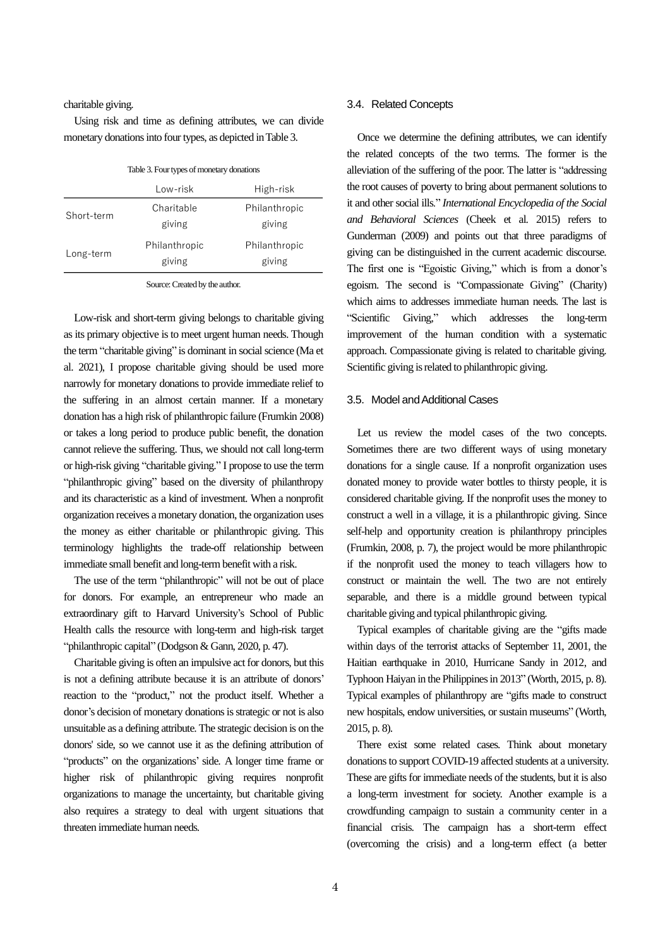charitable giving.

Using risk and time as defining attributes, we can divide monetary donations into four types, as depicted in Table 3.

|  |  | Table 3. Four types of monetary donations |  |
|--|--|-------------------------------------------|--|
|--|--|-------------------------------------------|--|

|            | Low-risk      | High-risk     |
|------------|---------------|---------------|
| Short-term | Charitable    | Philanthropic |
|            | giving        | giving        |
| Long-term  | Philanthropic | Philanthropic |
|            | giving        | giving        |

Source:Created by the author.

Low-risk and short-term giving belongs to charitable giving as its primary objective is to meet urgent human needs. Though the term "charitable giving" is dominant in social science (Ma et al. 2021), I propose charitable giving should be used more narrowly for monetary donations to provide immediate relief to the suffering in an almost certain manner. If a monetary donation has a high risk of philanthropic failure (Frumkin 2008) or takes a long period to produce public benefit, the donation cannot relieve the suffering. Thus, we should not call long-term or high-risk giving "charitable giving." I propose to use the term "philanthropic giving" based on the diversity of philanthropy and its characteristic as a kind of investment. When a nonprofit organization receives a monetary donation, the organization uses the money as either charitable or philanthropic giving. This terminology highlights the trade-off relationship between immediate small benefit and long-term benefit with a risk.

The use of the term "philanthropic" will not be out of place for donors. For example, an entrepreneur who made an extraordinary gift to Harvard University's School of Public Health calls the resource with long-term and high-risk target "philanthropic capital" (Dodgson & Gann, 2020, p. 47).

Charitable giving is often an impulsive act for donors, but this is not a defining attribute because it is an attribute of donors' reaction to the "product," not the product itself. Whether a donor's decision of monetary donations is strategic or not is also unsuitable as a defining attribute. The strategic decision is on the donors' side, so we cannot use it as the defining attribution of "products" on the organizations' side. A longer time frame or higher risk of philanthropic giving requires nonprofit organizations to manage the uncertainty, but charitable giving also requires a strategy to deal with urgent situations that threaten immediate human needs.

#### 3.4. Related Concepts

Once we determine the defining attributes, we can identify the related concepts of the two terms. The former is the alleviation of the suffering of the poor. The latter is "addressing the root causes of poverty to bring about permanent solutions to it and other social ills." *International Encyclopedia of the Social and Behavioral Sciences* (Cheek et al. 2015) refers to Gunderman (2009) and points out that three paradigms of giving can be distinguished in the current academic discourse. The first one is "Egoistic Giving," which is from a donor's egoism. The second is "Compassionate Giving" (Charity) which aims to addresses immediate human needs. The last is "Scientific Giving," which addresses the long-term improvement of the human condition with a systematic approach. Compassionate giving is related to charitable giving. Scientific giving is related to philanthropic giving.

#### 3.5. Model and Additional Cases

Let us review the model cases of the two concepts. Sometimes there are two different ways of using monetary donations for a single cause. If a nonprofit organization uses donated money to provide water bottles to thirsty people, it is considered charitable giving. If the nonprofit uses the money to construct a well in a village, it is a philanthropic giving. Since self-help and opportunity creation is philanthropy principles (Frumkin, 2008, p. 7), the project would be more philanthropic if the nonprofit used the money to teach villagers how to construct or maintain the well. The two are not entirely separable, and there is a middle ground between typical charitable giving and typical philanthropic giving.

Typical examples of charitable giving are the "gifts made within days of the terrorist attacks of September 11, 2001, the Haitian earthquake in 2010, Hurricane Sandy in 2012, and Typhoon Haiyan in the Philippines in 2013" (Worth, 2015, p. 8). Typical examples of philanthropy are "gifts made to construct new hospitals, endow universities, or sustain museums" (Worth, 2015, p. 8).

There exist some related cases. Think about monetary donations to support COVID-19 affected students at a university. These are gifts for immediate needs of the students, but it is also a long-term investment for society. Another example is a crowdfunding campaign to sustain a community center in a financial crisis. The campaign has a short-term effect (overcoming the crisis) and a long-term effect (a better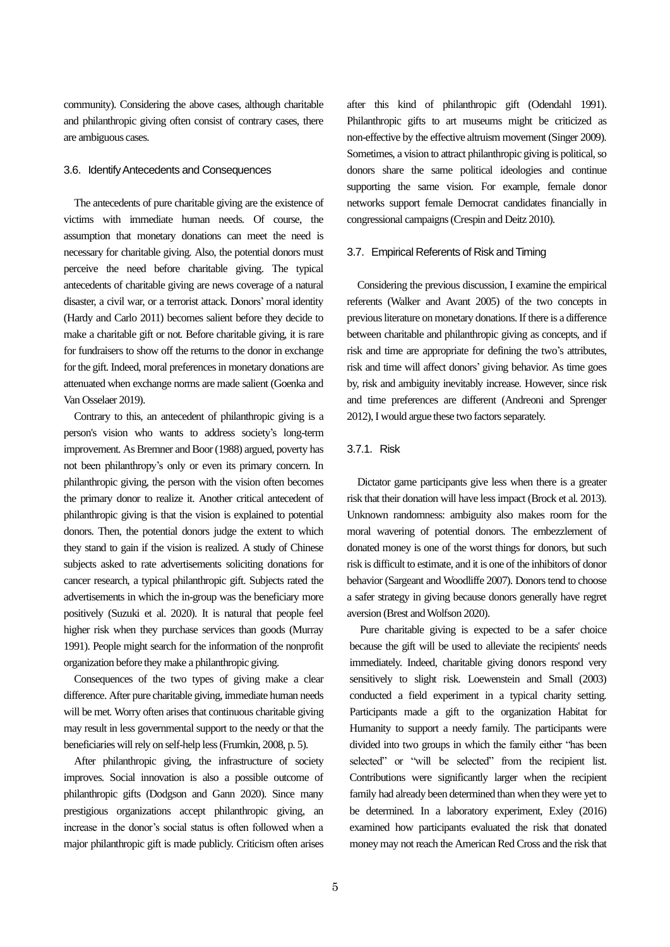community). Considering the above cases, although charitable and philanthropic giving often consist of contrary cases, there are ambiguous cases.

#### 3.6. Identify Antecedents and Consequences

The antecedents of pure charitable giving are the existence of victims with immediate human needs. Of course, the assumption that monetary donations can meet the need is necessary for charitable giving. Also, the potential donors must perceive the need before charitable giving. The typical antecedents of charitable giving are news coverage of a natural disaster, a civil war, or a terrorist attack. Donors' moral identity (Hardy and Carlo 2011) becomes salient before they decide to make a charitable gift or not. Before charitable giving, it is rare for fundraisers to show off the returns to the donor in exchange for the gift. Indeed, moral preferences in monetary donations are attenuated when exchange norms are made salient (Goenka and Van Osselaer 2019).

Contrary to this, an antecedent of philanthropic giving is a person's vision who wants to address society's long-term improvement. As Bremner and Boor (1988) argued, poverty has not been philanthropy's only or even its primary concern. In philanthropic giving, the person with the vision often becomes the primary donor to realize it. Another critical antecedent of philanthropic giving is that the vision is explained to potential donors. Then, the potential donors judge the extent to which they stand to gain if the vision is realized. A study of Chinese subjects asked to rate advertisements soliciting donations for cancer research, a typical philanthropic gift. Subjects rated the advertisements in which the in-group was the beneficiary more positively (Suzuki et al. 2020). It is natural that people feel higher risk when they purchase services than goods (Murray 1991). People might search for the information of the nonprofit organization before they make a philanthropic giving.

Consequences of the two types of giving make a clear difference. After pure charitable giving, immediate human needs will be met. Worry often arises that continuous charitable giving may result in less governmental support to the needy or that the beneficiaries will rely on self-help less(Frumkin, 2008, p. 5).

After philanthropic giving, the infrastructure of society improves. Social innovation is also a possible outcome of philanthropic gifts (Dodgson and Gann 2020). Since many prestigious organizations accept philanthropic giving, an increase in the donor's social status is often followed when a major philanthropic gift is made publicly. Criticism often arises

after this kind of philanthropic gift (Odendahl 1991). Philanthropic gifts to art museums might be criticized as non-effective by the effective altruism movement (Singer 2009). Sometimes, a vision to attract philanthropic giving is political, so donors share the same political ideologies and continue supporting the same vision. For example, female donor networks support female Democrat candidates financially in congressional campaigns(Crespin and Deitz 2010).

#### 3.7.Empirical Referents of Risk and Timing

Considering the previous discussion, I examine the empirical referents (Walker and Avant 2005) of the two concepts in previous literature on monetary donations.If there is a difference between charitable and philanthropic giving as concepts, and if risk and time are appropriate for defining the two's attributes, risk and time will affect donors' giving behavior. As time goes by, risk and ambiguity inevitably increase. However, since risk and time preferences are different (Andreoni and Sprenger 2012), I would argue these two factors separately.

#### 3.7.1.Risk

Dictator game participants give less when there is a greater risk that their donation will have less impact (Brock et al. 2013). Unknown randomness: ambiguity also makes room for the moral wavering of potential donors. The embezzlement of donated money is one of the worst things for donors, but such risk is difficult to estimate, and it is one of the inhibitors of donor behavior (Sargeant and Woodliffe 2007). Donors tend to choose a safer strategy in giving because donors generally have regret aversion (Brest and Wolfson 2020).

Pure charitable giving is expected to be a safer choice because the gift will be used to alleviate the recipients' needs immediately. Indeed, charitable giving donors respond very sensitively to slight risk. Loewenstein and Small (2003) conducted a field experiment in a typical charity setting. Participants made a gift to the organization Habitat for Humanity to support a needy family. The participants were divided into two groups in which the family either "has been selected" or "will be selected" from the recipient list. Contributions were significantly larger when the recipient family had already been determined than when they were yet to be determined. In a laboratory experiment, Exley (2016) examined how participants evaluated the risk that donated money may not reach the American Red Cross and the risk that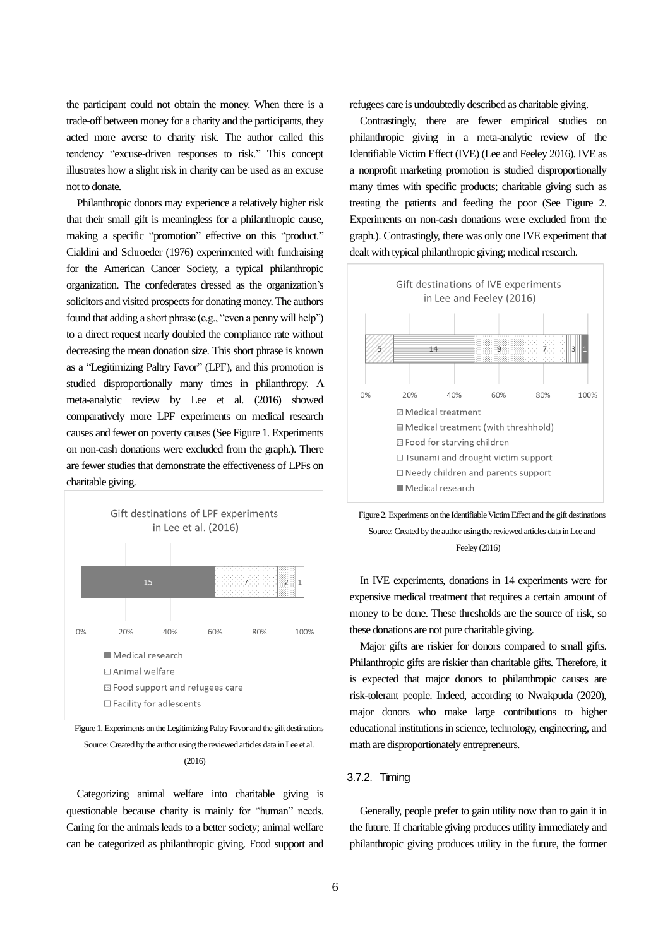the participant could not obtain the money. When there is a trade-off between money for a charity and the participants, they acted more averse to charity risk. The author called this tendency "excuse-driven responses to risk." This concept illustrates how a slight risk in charity can be used as an excuse not to donate.

Philanthropic donors may experience a relatively higher risk that their small gift is meaningless for a philanthropic cause, making a specific "promotion" effective on this "product." Cialdini and Schroeder (1976) experimented with fundraising for the American Cancer Society, a typical philanthropic organization. The confederates dressed as the organization's solicitors and visited prospects for donating money. The authors found that adding a short phrase (e.g., "even a penny will help") to a direct request nearly doubled the compliance rate without decreasing the mean donation size. This short phrase is known as a "Legitimizing Paltry Favor" (LPF), and this promotion is studied disproportionally many times in philanthropy. A meta-analytic review by Lee et al. (2016) showed comparatively more LPF experiments on medical research causes and fewer on poverty causes(See Figure 1. Experiments on non-cash donations were excluded from the graph.). There are fewer studies that demonstrate the effectiveness of LPFs on charitable giving.



Figure 1. Experiments on the Legitimizing Paltry Favor and the gift destinations Source: Created by the author using the reviewed articles data in Lee et al. (2016)

Categorizing animal welfare into charitable giving is questionable because charity is mainly for "human" needs. Caring for the animals leads to a better society; animal welfare can be categorized as philanthropic giving. Food support and refugees care is undoubtedly described as charitable giving.

Contrastingly, there are fewer empirical studies on philanthropic giving in a meta-analytic review of the Identifiable Victim Effect (IVE) (Lee and Feeley 2016). IVE as a nonprofit marketing promotion is studied disproportionally many times with specific products; charitable giving such as treating the patients and feeding the poor (See Figure 2. Experiments on non-cash donations were excluded from the graph.). Contrastingly, there was only one IVE experiment that dealt with typical philanthropic giving; medical research.



Figure 2. Experiments on the Identifiable Victim Effect and the gift destinations Source:Created by the author using the reviewed articles data in Lee and Feeley (2016)

In IVE experiments, donations in 14 experiments were for expensive medical treatment that requires a certain amount of money to be done. These thresholds are the source of risk, so these donations are not pure charitable giving.

Major gifts are riskier for donors compared to small gifts. Philanthropic gifts are riskier than charitable gifts. Therefore, it is expected that major donors to philanthropic causes are risk-tolerant people. Indeed, according to Nwakpuda (2020), major donors who make large contributions to higher educational institutions in science, technology, engineering, and math are disproportionately entrepreneurs.

#### 3.7.2.Timing

Generally, people prefer to gain utility now than to gain it in the future. If charitable giving produces utility immediately and philanthropic giving produces utility in the future, the former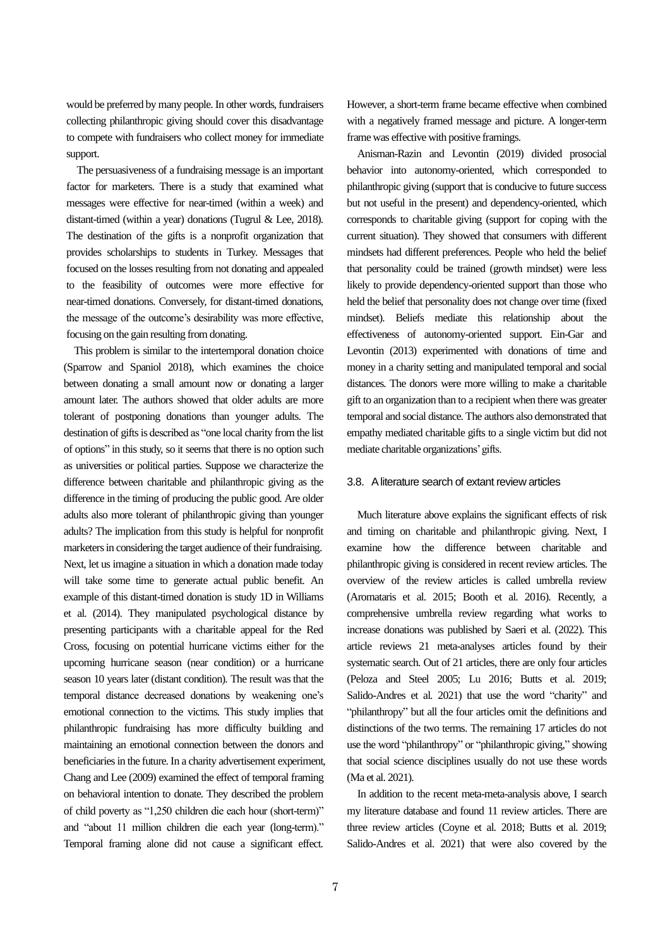would be preferred by many people. In other words, fundraisers collecting philanthropic giving should cover this disadvantage to compete with fundraisers who collect money for immediate support.

The persuasiveness of a fundraising message is an important factor for marketers. There is a study that examined what messages were effective for near-timed (within a week) and distant-timed (within a year) donations (Tugrul & Lee, 2018). The destination of the gifts is a nonprofit organization that provides scholarships to students in Turkey. Messages that focused on the losses resulting from not donating and appealed to the feasibility of outcomes were more effective for near-timed donations. Conversely, for distant-timed donations, the message of the outcome's desirability was more effective, focusing on the gain resulting from donating.

This problem is similar to the intertemporal donation choice (Sparrow and Spaniol 2018), which examines the choice between donating a small amount now or donating a larger amount later. The authors showed that older adults are more tolerant of postponing donations than younger adults. The destination of gifts is described as "one local charity from the list of options" in this study, so it seems that there is no option such as universities or political parties. Suppose we characterize the difference between charitable and philanthropic giving as the difference in the timing of producing the public good. Are older adults also more tolerant of philanthropic giving than younger adults? The implication from this study is helpful for nonprofit marketers in considering the target audience of their fundraising. Next, let us imagine a situation in which a donation made today will take some time to generate actual public benefit. An example of this distant-timed donation is study 1D in Williams et al. (2014). They manipulated psychological distance by presenting participants with a charitable appeal for the Red Cross, focusing on potential hurricane victims either for the upcoming hurricane season (near condition) or a hurricane season 10 years later (distant condition). The result was that the temporal distance decreased donations by weakening one's emotional connection to the victims. This study implies that philanthropic fundraising has more difficulty building and maintaining an emotional connection between the donors and beneficiaries in the future. In a charity advertisement experiment, Chang and Lee (2009) examined the effect of temporal framing on behavioral intention to donate. They described the problem of child poverty as "1,250 children die each hour (short-term)" and "about 11 million children die each year (long-term)." Temporal framing alone did not cause a significant effect.

However, a short-term frame became effective when combined with a negatively framed message and picture. A longer-term frame was effective with positive framings.

 Anisman-Razin and Levontin (2019) divided prosocial behavior into autonomy-oriented, which corresponded to philanthropic giving (support that is conducive to future success but not useful in the present) and dependency-oriented, which corresponds to charitable giving (support for coping with the current situation). They showed that consumers with different mindsets had different preferences. People who held the belief that personality could be trained (growth mindset) were less likely to provide dependency-oriented support than those who held the belief that personality does not change over time (fixed mindset). Beliefs mediate this relationship about the effectiveness of autonomy-oriented support. Ein-Gar and Levontin (2013) experimented with donations of time and money in a charity setting and manipulated temporal and social distances. The donors were more willing to make a charitable gift to an organization than to a recipient when there was greater temporal and social distance. The authors also demonstrated that empathy mediated charitable gifts to a single victim but did not mediate charitable organizations' gifts.

#### 3.8. A literature search of extant review articles

Much literature above explains the significant effects of risk and timing on charitable and philanthropic giving. Next, I examine how the difference between charitable and philanthropic giving is considered in recent review articles. The overview of the review articles is called umbrella review (Aromataris et al. 2015; Booth et al. 2016). Recently, a comprehensive umbrella review regarding what works to increase donations was published by Saeri et al. (2022). This article reviews 21 meta-analyses articles found by their systematic search. Out of 21 articles, there are only four articles (Peloza and Steel 2005; Lu 2016; Butts et al. 2019; Salido-Andres et al. 2021) that use the word "charity" and "philanthropy" but all the four articles omit the definitions and distinctions of the two terms. The remaining 17 articles do not use the word "philanthropy" or "philanthropic giving," showing that social science disciplines usually do not use these words (Ma et al. 2021).

In addition to the recent meta-meta-analysis above, I search my literature database and found 11 review articles. There are three review articles (Coyne et al. 2018; Butts et al. 2019; Salido-Andres et al. 2021) that were also covered by the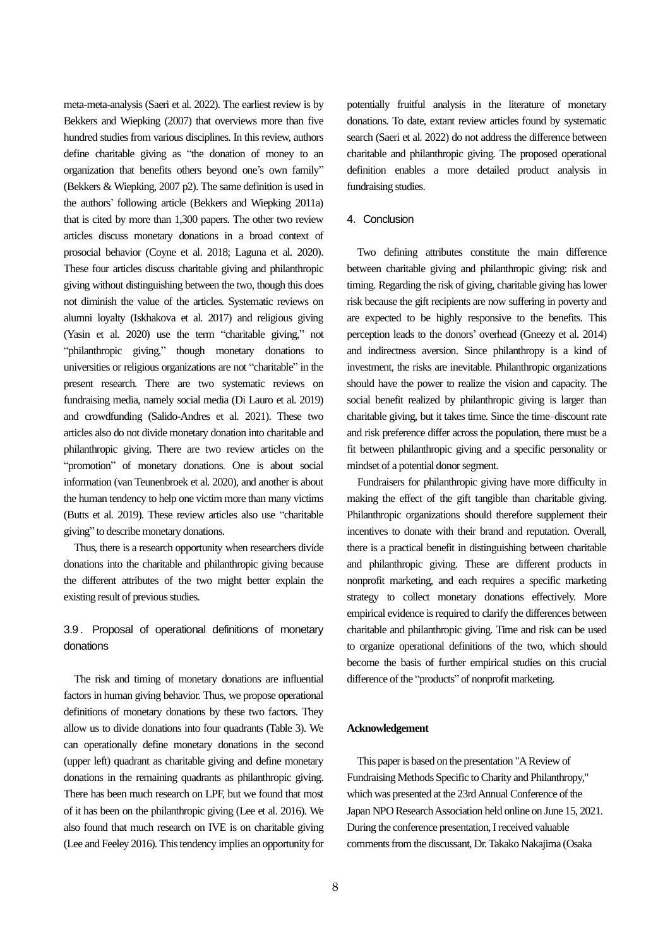meta-meta-analysis(Saeri et al. 2022). The earliest review is by Bekkers and Wiepking (2007) that overviews more than five hundred studies from various disciplines. In this review, authors define charitable giving as "the donation of money to an organization that benefits others beyond one's own family" (Bekkers & Wiepking, 2007 p2). The same definition is used in the authors' following article (Bekkers and Wiepking 2011a) that is cited by more than 1,300 papers. The other two review articles discuss monetary donations in a broad context of prosocial behavior (Coyne et al. 2018; Laguna et al. 2020). These four articles discuss charitable giving and philanthropic giving without distinguishing between the two, though this does not diminish the value of the articles. Systematic reviews on alumni loyalty (Iskhakova et al. 2017) and religious giving (Yasin et al. 2020) use the term "charitable giving," not "philanthropic giving," though monetary donations to universities or religious organizations are not "charitable" in the present research. There are two systematic reviews on fundraising media, namely social media (Di Lauro et al. 2019) and crowdfunding (Salido-Andres et al. 2021). These two articles also do not divide monetary donation into charitable and philanthropic giving. There are two review articles on the "promotion" of monetary donations. One is about social information (van Teunenbroek et al. 2020), and another is about the human tendency to help one victim more than many victims (Butts et al. 2019). These review articles also use "charitable giving" to describe monetary donations.

Thus, there is a research opportunity when researchers divide donations into the charitable and philanthropic giving because the different attributes of the two might better explain the existing result of previous studies.

# 3.9. Proposal of operational definitions of monetary donations

The risk and timing of monetary donations are influential factors in human giving behavior. Thus, we propose operational definitions of monetary donations by these two factors. They allow us to divide donations into four quadrants (Table 3). We can operationally define monetary donations in the second (upper left) quadrant as charitable giving and define monetary donations in the remaining quadrants as philanthropic giving. There has been much research on LPF, but we found that most of it has been on the philanthropic giving (Lee et al. 2016). We also found that much research on IVE is on charitable giving (Lee and Feeley 2016). This tendency implies an opportunity for

potentially fruitful analysis in the literature of monetary donations. To date, extant review articles found by systematic search (Saeri et al. 2022) do not address the difference between charitable and philanthropic giving. The proposed operational definition enables a more detailed product analysis in fundraising studies.

#### 4.Conclusion

Two defining attributes constitute the main difference between charitable giving and philanthropic giving: risk and timing. Regarding the risk of giving, charitable giving has lower risk because the gift recipients are now suffering in poverty and are expected to be highly responsive to the benefits. This perception leads to the donors' overhead (Gneezy et al. 2014) and indirectness aversion. Since philanthropy is a kind of investment, the risks are inevitable. Philanthropic organizations should have the power to realize the vision and capacity. The social benefit realized by philanthropic giving is larger than charitable giving, but it takes time. Since the time–discount rate and risk preference differ across the population, there must be a fit between philanthropic giving and a specific personality or mindset of a potential donorsegment.

Fundraisers for philanthropic giving have more difficulty in making the effect of the gift tangible than charitable giving. Philanthropic organizations should therefore supplement their incentives to donate with their brand and reputation. Overall, there is a practical benefit in distinguishing between charitable and philanthropic giving. These are different products in nonprofit marketing, and each requires a specific marketing strategy to collect monetary donations effectively. More empirical evidence is required to clarify the differences between charitable and philanthropic giving. Time and risk can be used to organize operational definitions of the two, which should become the basis of further empirical studies on this crucial difference of the "products" of nonprofit marketing.

#### **Acknowledgement**

This paper is based on the presentation "A Review of Fundraising Methods Specific to Charity and Philanthropy," which was presented at the 23rd Annual Conference of the Japan NPO Research Association held online on June 15, 2021. During the conference presentation, I received valuable comments from the discussant, Dr. Takako Nakajima (Osaka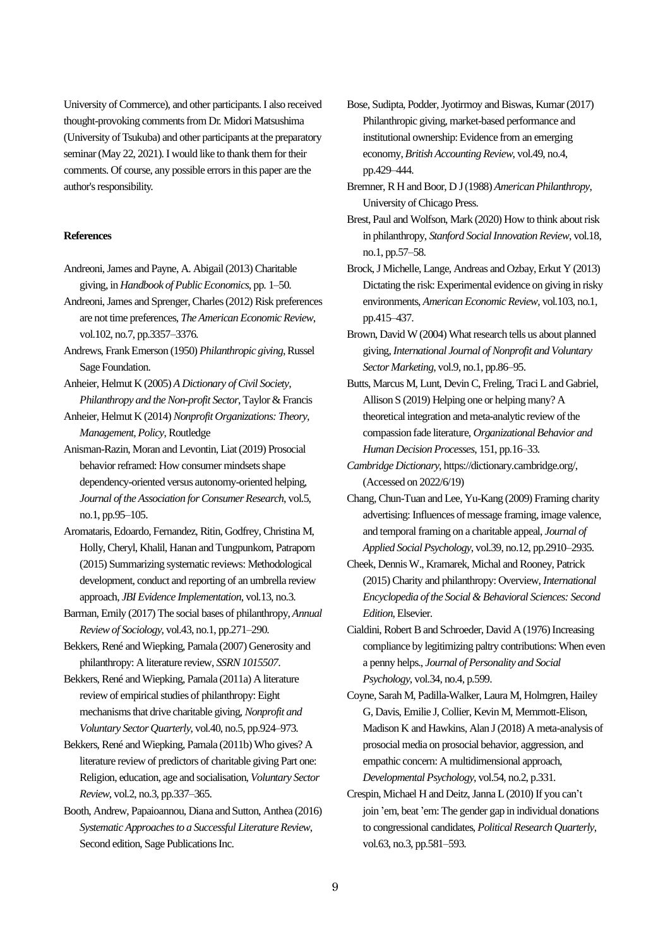University of Commerce), and other participants. I also received thought-provoking comments from Dr. Midori Matsushima (University of Tsukuba) and other participants at the preparatory seminar (May 22, 2021). I would like to thank them for their comments. Of course, any possible errorsin this paper are the author's responsibility.

#### **References**

- Andreoni, James and Payne, A. Abigail (2013) Charitable giving,in *Handbook of Public Economics*, pp. 1–50.
- Andreoni, James and Sprenger, Charles (2012) Risk preferences are not time preferences,*The American Economic Review*, vol.102, no.7, pp.3357–3376.
- Andrews, Frank Emerson (1950) *Philanthropic giving*, Russel Sage Foundation.
- Anheier, Helmut K (2005) *A Dictionary of Civil Society, Philanthropy and the Non-profit Sector*, Taylor & Francis
- Anheier, Helmut K (2014) *Nonprofit Organizations: Theory, Management, Policy*, Routledge
- Anisman-Razin, Moran and Levontin, Liat (2019) Prosocial behavior reframed: How consumer mindsets shape dependency-oriented versus autonomy-oriented helping, *Journal of the Association for Consumer Research*, vol.5, no.1, pp.95–105.
- Aromataris, Edoardo, Fernandez, Ritin, Godfrey, Christina M, Holly, Cheryl, Khalil, Hanan and Tungpunkom, Patraporn (2015) Summarizing systematic reviews: Methodological development, conduct and reporting of an umbrella review approach, *JBI Evidence Implementation*, vol.13, no.3.
- Barman, Emily (2017) The social bases of philanthropy, *Annual Review of Sociology*, vol.43, no.1, pp.271–290.

Bekkers, René and Wiepking, Pamala (2007) Generosity and philanthropy: A literature review, *SSRN 1015507*.

Bekkers, René and Wiepking, Pamala (2011a) A literature review of empirical studies of philanthropy: Eight mechanisms that drive charitable giving, *Nonprofit and Voluntary Sector Quarterly*, vol.40, no.5, pp.924–973.

Bekkers, René and Wiepking, Pamala (2011b) Who gives? A literature review of predictors of charitable giving Part one: Religion, education, age and socialisation, *Voluntary Sector Review*, vol.2, no.3, pp.337–365.

Booth, Andrew, Papaioannou, Diana and Sutton, Anthea (2016) Systematic Approaches to a Successful Literature Review, Second edition, Sage Publications Inc.

- Bose, Sudipta, Podder, Jyotirmoy and Biswas, Kumar (2017) Philanthropic giving, market-based performance and institutional ownership: Evidence from an emerging economy, *British Accounting Review*, vol.49, no.4, pp.429–444.
- Bremner, R H and Boor, D J (1988) *American Philanthropy*, University of Chicago Press.
- Brest, Paul and Wolfson, Mark (2020) How to think about risk in philanthropy, *Stanford Social Innovation Review*, vol.18, no.1, pp.57–58.
- Brock, J Michelle, Lange, Andreas and Ozbay, Erkut Y (2013) Dictating the risk: Experimental evidence on giving in risky environments, *American Economic Review*, vol.103, no.1, pp.415–437.
- Brown, David W (2004) What research tells us about planned giving, *International Journal of Nonprofit and Voluntary Sector Marketing*, vol.9, no.1, pp.86–95.
- Butts, Marcus M, Lunt, Devin C, Freling, Traci L and Gabriel, Allison S (2019) Helping one or helping many? A theoretical integration and meta-analytic review of the compassion fade literature, *Organizational Behavior and Human Decision Processes*, 151, pp.16–33.
- *Cambridge Dictionary*, https://dictionary.cambridge.org/, (Accessed on 2022/6/19)
- Chang, Chun-Tuan and Lee, Yu-Kang (2009) Framing charity advertising: Influences of message framing, image valence, and temporal framing on a charitable appeal, *Journal of Applied Social Psychology*, vol.39, no.12, pp.2910–2935.
- Cheek, Dennis W., Kramarek, Michal and Rooney, Patrick (2015) Charity and philanthropy: Overview, *International Encyclopedia of the Social & Behavioral Sciences: Second Edition*, **Elsevier**.
- Cialdini, Robert B and Schroeder, David A (1976) Increasing compliance by legitimizing paltry contributions: When even a penny helps., *Journal of Personality and Social Psychology*, vol.34, no.4, p.599.
- Coyne, Sarah M, Padilla-Walker, Laura M, Holmgren, Hailey G, Davis, Emilie J, Collier, Kevin M, Memmott-Elison, Madison K and Hawkins, Alan J (2018) A meta-analysis of prosocial media on prosocial behavior, aggression, and empathic concern: A multidimensional approach, *Developmental Psychology*, vol.54, no.2, p.331.
- Crespin, Michael H and Deitz, Janna L (2010) If you can't join 'em, beat 'em: The gender gap in individual donations to congressional candidates, *Political Research Quarterly*, vol.63, no.3, pp.581–593.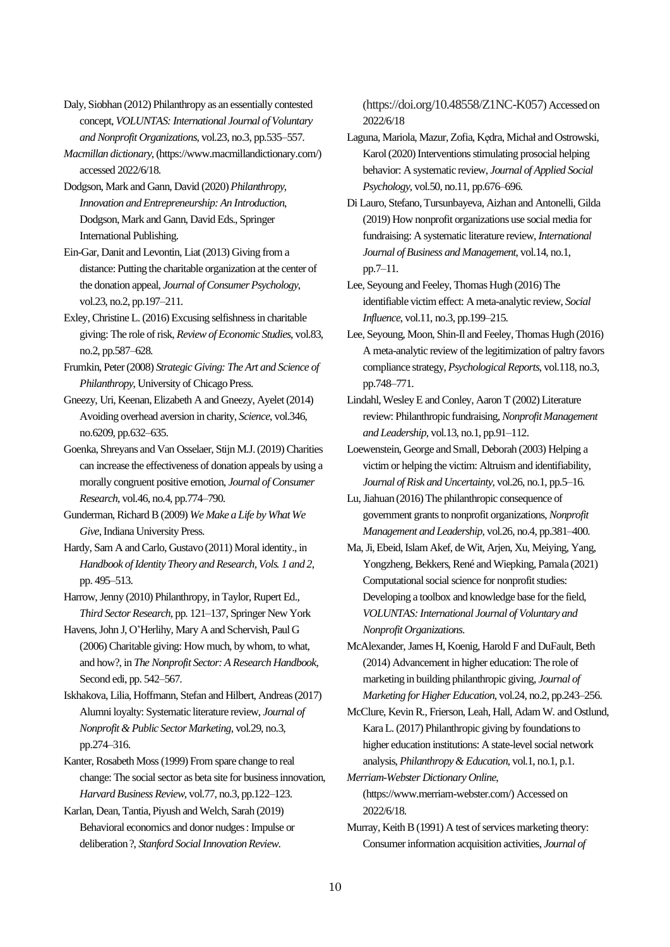Daly, Siobhan (2012) Philanthropy as an essentially contested concept, *VOLUNTAS: International Journal of Voluntary and Nonprofit Organizations*, vol.23, no.3, pp.535–557.

*Macmillan dictionary*, (https://www.macmillandictionary.com/) accessed 2022/6/18.

Dodgson, Mark and Gann, David (2020) *Philanthropy, Innovation and Entrepreneurship: An Introduction*, Dodgson, Mark and Gann, David Eds., Springer International Publishing.

Ein-Gar, Danit and Levontin, Liat (2013) Giving from a distance: Putting the charitable organization at the center of the donation appeal, *Journal of Consumer Psychology*, vol.23, no.2, pp.197–211.

Exley, Christine L. (2016) Excusing selfishness in charitable giving: The role of risk, *Review of Economic Studies*, vol.83, no.2, pp.587–628.

Frumkin, Peter (2008) *Strategic Giving: The Art and Science of Philanthropy*, University of Chicago Press.

Gneezy, Uri, Keenan, Elizabeth A and Gneezy, Ayelet (2014) Avoiding overhead aversion in charity, *Science*, vol.346, no.6209, pp.632–635.

Goenka, Shreyans and Van Osselaer, Stijn M.J. (2019) Charities can increase the effectiveness of donation appeals by using a morally congruent positive emotion, *Journal of Consumer Research*, vol.46, no.4, pp.774–790.

Gunderman, RichardB (2009) *We Make a Life by What We Give*, Indiana University Press.

Hardy, Sam A and Carlo, Gustavo (2011) Moral identity., in *Handbook of Identity Theory and Research, Vols. 1 and 2*, pp. 495–513.

Harrow, Jenny (2010) Philanthropy, in Taylor, Rupert Ed., *Third Sector Research*, pp. 121–137, Springer New York

Havens, John J, O'Herlihy, Mary A and Schervish, Paul G (2006) Charitable giving: How much, by whom, to what, and how?, in *The Nonprofit Sector: A Research Handbook*, Second edi, pp. 542–567.

Iskhakova, Lilia, Hoffmann, Stefan and Hilbert, Andreas (2017) Alumni loyalty: Systematic literature review, *Journal of Nonprofit & Public Sector Marketing*, vol.29, no.3, pp.274–316.

Kanter, Rosabeth Moss (1999) From spare change to real change: The social sector as beta site for business innovation, *Harvard Business Review*, vol.77, no.3, pp.122–123.

Karlan, Dean, Tantia, Piyush and Welch, Sarah (2019) Behavioral economics and donor nudges: Impulse or deliberation?, *Stanford Social Innovation Review*.

(https://doi.org/10.48558/Z1NC-K057) Accessed on 2022/6/18

Laguna, Mariola, Mazur, Zofia, Kędra, Michał and Ostrowski, Karol (2020) Interventions stimulating prosocial helping behavior: A systematic review, *Journal of Applied Social Psychology*, vol.50, no.11, pp.676–696.

Di Lauro, Stefano, Tursunbayeva, Aizhan and Antonelli, Gilda (2019) How nonprofit organizations use social media for fundraising: A systematic literature review, *International Journal of Business and Management*, vol.14, no.1, pp.7–11.

Lee, Seyoung and Feeley, Thomas Hugh (2016) The identifiable victim effect: A meta-analytic review, *Social Influence*, vol.11, no.3, pp.199–215.

- Lee, Seyoung, Moon, Shin-Il and Feeley, Thomas Hugh (2016) A meta-analytic review of the legitimization of paltry favors compliance strategy, *Psychological Reports*, vol.118, no.3, pp.748–771.
- Lindahl, Wesley E and Conley, Aaron T (2002) Literature review: Philanthropic fundraising, *Nonprofit Management and Leadership*, vol.13, no.1, pp.91–112.

Loewenstein, George and Small, Deborah (2003) Helping a victim or helping the victim: Altruism and identifiability, *Journal of Risk and Uncertainty*, vol.26, no.1, pp.5–16.

Lu, Jiahuan (2016) The philanthropic consequence of government grants to nonprofit organizations, *Nonprofit Management and Leadership*, vol.26, no.4, pp.381–400.

Ma, Ji, Ebeid, Islam Akef, de Wit, Arjen, Xu, Meiying, Yang, Yongzheng, Bekkers, René and Wiepking, Pamala (2021) Computational social science for nonprofit studies: Developing a toolbox and knowledge base for the field, *VOLUNTAS: International Journal of Voluntary and Nonprofit Organizations*.

McAlexander, James H, Koenig, Harold F and DuFault, Beth (2014) Advancement in higher education: The role of marketing in building philanthropic giving, *Journal of Marketing for Higher Education*, vol.24, no.2, pp.243–256.

McClure, Kevin R., Frierson, Leah, Hall, Adam W. and Ostlund, Kara L. (2017) Philanthropic giving by foundations to higher education institutions: A state-level social network analysis, *Philanthropy & Education*, vol.1, no.1, p.1.

*Merriam-Webster Dictionary Online*, (https://www.merriam-webster.com/) Accessed on 2022/6/18.

Murray, Keith B (1991) A test of services marketing theory: Consumer information acquisition activities, *Journal of*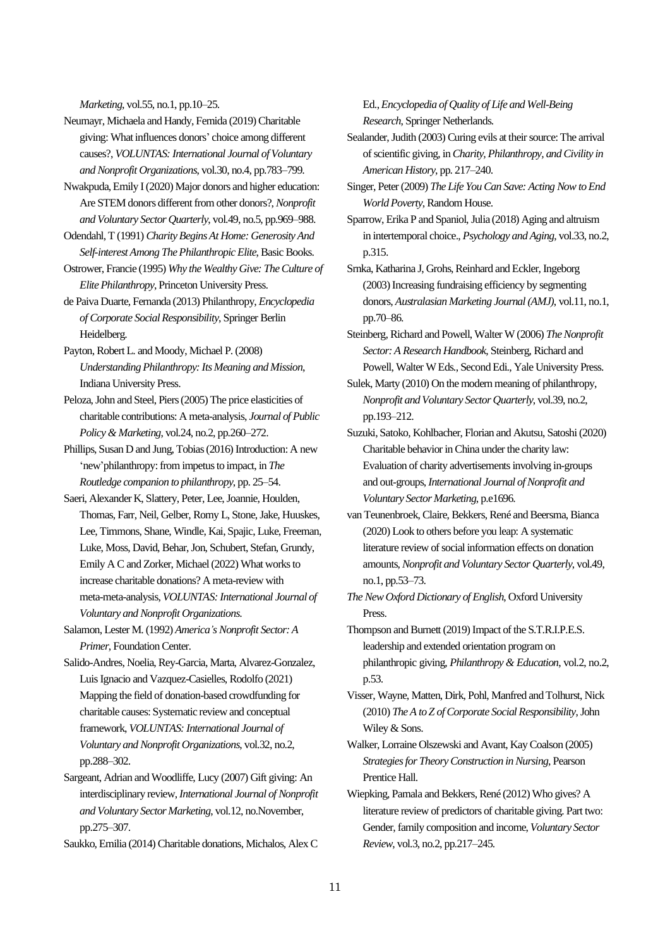*Marketing*, vol.55, no.1, pp.10–25.

Neumayr, Michaela and Handy, Femida (2019) Charitable giving: What influences donors' choice among different causes?, *VOLUNTAS: International Journal of Voluntary and Nonprofit Organizations*, vol.30, no.4, pp.783–799.

Nwakpuda, Emily I (2020) Major donors and higher education: Are STEM donors different from other donors?, *Nonprofit and Voluntary Sector Quarterly*, vol.49, no.5, pp.969–988.

Odendahl, T (1991) *Charity Begins At Home: Generosity And Self-interest Among The Philanthropic Elite*, Basic Books.

Ostrower, Francie (1995) *Why the Wealthy Give: The Culture of Elite Philanthropy*, Princeton University Press.

de Paiva Duarte, Fernanda (2013) Philanthropy, *Encyclopedia of Corporate Social Responsibility*, Springer Berlin Heidelberg.

Payton, Robert L. and Moody, Michael P. (2008) *Understanding Philanthropy: Its Meaning and Mission*, Indiana University Press.

Peloza, John and Steel, Piers (2005) The price elasticities of charitable contributions: A meta-analysis, *Journal of Public Policy & Marketing*, vol.24, no.2, pp.260–272.

Phillips, Susan D and Jung, Tobias (2016) Introduction: A new 'new'philanthropy: from impetus to impact, in *The Routledge companion to philanthropy*, pp. 25–54.

Saeri, Alexander K, Slattery, Peter, Lee, Joannie, Houlden, Thomas, Farr, Neil, Gelber, Romy L, Stone, Jake, Huuskes, Lee, Timmons, Shane, Windle, Kai, Spajic, Luke, Freeman, Luke, Moss, David, Behar, Jon, Schubert, Stefan, Grundy, Emily A C and Zorker, Michael (2022) What works to increase charitable donations? A meta-review with meta-meta-analysis, *VOLUNTAS: International Journal of Voluntary and Nonprofit Organizations*.

Salamon, Lester M. (1992) *America's Nonprofit Sector: A Primer*, Foundation Center.

Salido-Andres, Noelia, Rey-Garcia, Marta, Alvarez-Gonzalez, Luis Ignacio and Vazquez-Casielles, Rodolfo (2021) Mapping the field of donation-based crowdfunding for charitable causes: Systematic review and conceptual framework, *VOLUNTAS: International Journal of Voluntary and Nonprofit Organizations*, vol.32, no.2, pp.288–302.

Sargeant, Adrian and Woodliffe, Lucy (2007) Gift giving: An interdisciplinary review, *International Journal of Nonprofit and Voluntary Sector Marketing*, vol.12, no.November, pp.275–307.

Saukko, Emilia (2014) Charitable donations, Michalos, Alex C

Ed., *Encyclopedia of Quality of Life and Well-Being Research*, Springer Netherlands.

Sealander, Judith (2003) Curing evils at their source: The arrival of scientific giving, in *Charity, Philanthropy, and Civility in American History*, pp. 217–240.

Singer, Peter (2009) *The Life You Can Save: Acting Now to End World Poverty*, Random House.

Sparrow, Erika P and Spaniol, Julia (2018) Aging and altruism in intertemporal choice., *Psychology and Aging*, vol.33, no.2, p.315.

Srnka, Katharina J, Grohs, Reinhard and Eckler, Ingeborg (2003) Increasing fundraising efficiency by segmenting donors, *Australasian Marketing Journal (AMJ)*, vol.11, no.1, pp.70–86.

Steinberg, Richard and Powell, Walter W (2006) *The Nonprofit Sector: A Research Handbook*, Steinberg, Richard and Powell, Walter W Eds., Second Edi., Yale University Press.

Sulek, Marty (2010) On the modern meaning of philanthropy, *Nonprofit and Voluntary Sector Quarterly*, vol.39, no.2, pp.193–212.

Suzuki, Satoko, Kohlbacher, Florian and Akutsu, Satoshi (2020) Charitable behavior inChina under the charity law: Evaluation of charity advertisements involving in‐groups and out‐groups, *International Journal of Nonprofit and Voluntary Sector Marketing*, p.e1696.

van Teunenbroek, Claire, Bekkers, René and Beersma, Bianca (2020) Look to others before you leap: A systematic literature review of social information effects on donation amounts, *Nonprofit and Voluntary Sector Quarterly*, vol.49, no.1, pp.53–73.

*The New Oxford Dictionary of English*, Oxford University Press.

Thompson and Burnett (2019) Impact of the S.T.R.I.P.E.S. leadership and extended orientation program on philanthropic giving, *Philanthropy & Education*, vol.2, no.2, p.53.

Visser, Wayne, Matten, Dirk, Pohl, Manfred and Tolhurst, Nick (2010) *The A to Z of Corporate Social Responsibility*, John Wiley & Sons.

Walker, Lorraine Olszewski and Avant, Kay Coalson (2005) *Strategies for Theory Construction in Nursing*, Pearson Prentice Hall.

Wiepking, Pamala and Bekkers, René (2012) Who gives? A literature review of predictors of charitable giving. Part two: Gender, family composition and income, *Voluntary Sector Review*, vol.3, no.2, pp.217–245.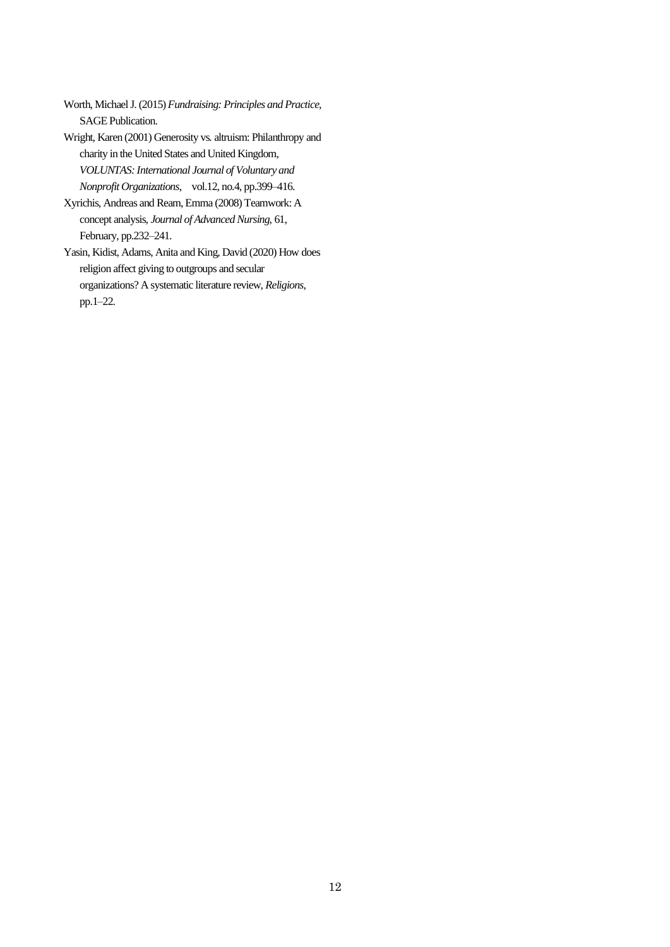Worth, Michael J. (2015) *Fundraising: Principles and Practice*, SAGE Publication.

Wright, Karen (2001) Generosity vs. altruism: Philanthropy and charity in the United States and United Kingdom, *VOLUNTAS: International Journal of Voluntary and Nonprofit Organizations*, vol.12, no.4, pp.399–416.

Xyrichis, Andreas and Ream, Emma (2008) Teamwork: A concept analysis, *Journal of Advanced Nursing*, 61, February, pp.232–241.

Yasin, Kidist, Adams, Anita and King, David (2020) How does religion affect giving to outgroups and secular organizations? A systematic literature review, *Religions*, pp.1–22.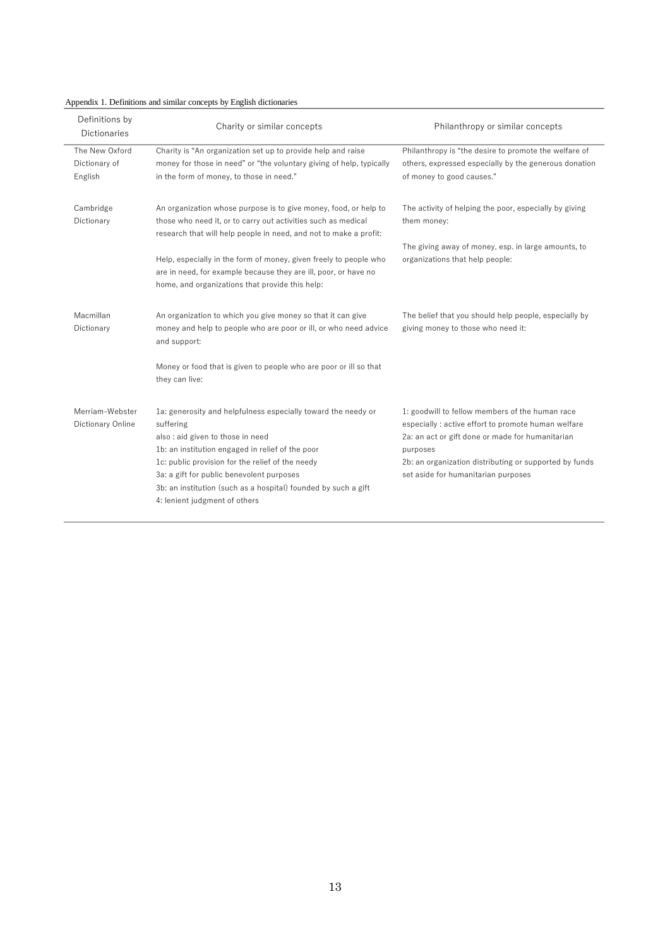| Appendix 1. Definitions and similar concepts by English dictionaries |
|----------------------------------------------------------------------|
|----------------------------------------------------------------------|

| Definitions by<br><b>Dictionaries</b>      | Charity or similar concepts                                                                                                                                                                                                                                                                                                                                            | Philanthropy or similar concepts                                                                                                                                                                                                                                        |
|--------------------------------------------|------------------------------------------------------------------------------------------------------------------------------------------------------------------------------------------------------------------------------------------------------------------------------------------------------------------------------------------------------------------------|-------------------------------------------------------------------------------------------------------------------------------------------------------------------------------------------------------------------------------------------------------------------------|
| The New Oxford<br>Dictionary of<br>English | Charity is "An organization set up to provide help and raise<br>money for those in need" or "the voluntary giving of help, typically<br>in the form of money, to those in need."                                                                                                                                                                                       | Philanthropy is "the desire to promote the welfare of<br>others, expressed especially by the generous donation<br>of money to good causes."                                                                                                                             |
| Cambridge<br>Dictionary                    | An organization whose purpose is to give money, food, or help to<br>those who need it, or to carry out activities such as medical<br>research that will help people in need, and not to make a profit:                                                                                                                                                                 | The activity of helping the poor, especially by giving<br>them money:                                                                                                                                                                                                   |
|                                            | Help, especially in the form of money, given freely to people who<br>are in need, for example because they are ill, poor, or have no<br>home, and organizations that provide this help:                                                                                                                                                                                | The giving away of money, esp. in large amounts, to<br>organizations that help people:                                                                                                                                                                                  |
| Macmillan<br>Dictionary                    | An organization to which you give money so that it can give<br>money and help to people who are poor or ill, or who need advice<br>and support:                                                                                                                                                                                                                        | The belief that you should help people, especially by<br>giving money to those who need it:                                                                                                                                                                             |
|                                            | Money or food that is given to people who are poor or ill so that<br>they can live:                                                                                                                                                                                                                                                                                    |                                                                                                                                                                                                                                                                         |
| Merriam-Webster<br>Dictionary Online       | 1a: generosity and helpfulness especially toward the needy or<br>suffering<br>also: aid given to those in need<br>1b: an institution engaged in relief of the poor<br>1c: public provision for the relief of the needy<br>3a: a gift for public benevolent purposes<br>3b: an institution (such as a hospital) founded by such a gift<br>4: lenient judgment of others | 1: goodwill to fellow members of the human race<br>especially : active effort to promote human welfare<br>2a: an act or gift done or made for humanitarian<br>purposes<br>2b: an organization distributing or supported by funds<br>set aside for humanitarian purposes |